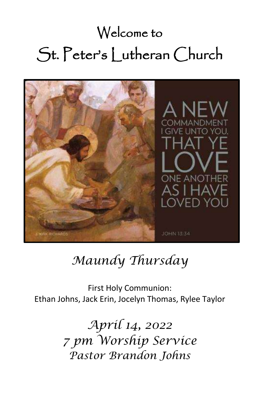# Welcome to St. Peter's Lutheran Church



# *Maundy Thursday*

First Holy Communion: Ethan Johns, Jack Erin, Jocelyn Thomas, Rylee Taylor

> *April 14, 2022 7 pm Worship Service Pastor Brandon Johns*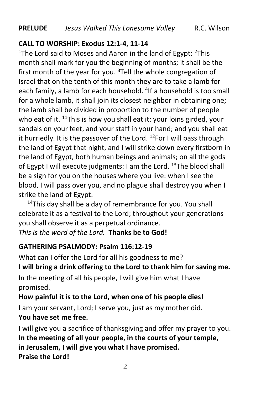#### **CALL TO WORSHIP: Exodus 12:1-4, 11-14**

<sup>1</sup>The Lord said to Moses and Aaron in the land of Egypt:  $2$ This month shall mark for you the beginning of months; it shall be the first month of the year for you.  $3$ Tell the whole congregation of Israel that on the tenth of this month they are to take a lamb for each family, a lamb for each household. <sup>4</sup>If a household is too small for a whole lamb, it shall join its closest neighbor in obtaining one; the lamb shall be divided in proportion to the number of people who eat of it.  $11$ This is how you shall eat it: your loins girded, your sandals on your feet, and your staff in your hand; and you shall eat it hurriedly. It is the passover of the Lord. <sup>12</sup>For I will pass through the land of Egypt that night, and I will strike down every firstborn in the land of Egypt, both human beings and animals; on all the gods of Egypt I will execute judgments: I am the Lord.  $13$ The blood shall be a sign for you on the houses where you live: when I see the blood, I will pass over you, and no plague shall destroy you when I strike the land of Egypt.

 $14$ This day shall be a day of remembrance for you. You shall celebrate it as a festival to the Lord; throughout your generations you shall observe it as a perpetual ordinance. *This is the word of the Lord.* **Thanks be to God!**

#### **GATHERING PSALMODY: Psalm 116:12-19**

What can I offer the Lord for all his goodness to me? **I will bring a drink offering to the Lord to thank him for saving me.** In the meeting of all his people, I will give him what I have

promised.

#### **How painful it is to the Lord, when one of his people dies!**

I am your servant, Lord; I serve you, just as my mother did. **You have set me free.**

I will give you a sacrifice of thanksgiving and offer my prayer to you. **In the meeting of all your people, in the courts of your temple, in Jerusalem, I will give you what I have promised. Praise the Lord!**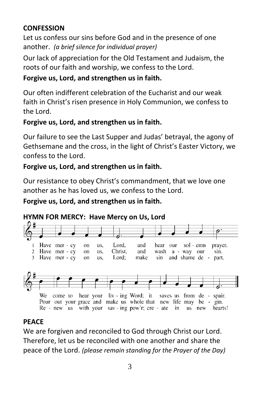# **CONFESSION**

Let us confess our sins before God and in the presence of one another. *(a brief silence for individual prayer)*

Our lack of appreciation for the Old Testament and Judaism, the roots of our faith and worship, we confess to the Lord.

# **Forgive us, Lord, and strengthen us in faith.**

Our often indifferent celebration of the Eucharist and our weak faith in Christ's risen presence in Holy Communion, we confess to the Lord.

# **Forgive us, Lord, and strengthen us in faith.**

Our failure to see the Last Supper and Judas' betrayal, the agony of Gethsemane and the cross, in the light of Christ's Easter Victory, we confess to the Lord.

#### **Forgive us, Lord, and strengthen us in faith.**

Our resistance to obey Christ's commandment, that we love one another as he has loved us, we confess to the Lord.

#### **Forgive us, Lord, and strengthen us in faith.**

#### **HYMN FOR MERCY: Have Mercy on Us, Lord**



# **PEACE**

We are forgiven and reconciled to God through Christ our Lord. Therefore, let us be reconciled with one another and share the peace of the Lord. *(please remain standing for the Prayer of the Day)*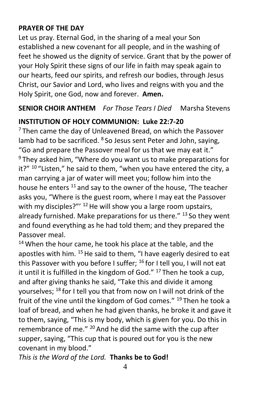#### **PRAYER OF THE DAY**

Let us pray. Eternal God, in the sharing of a meal your Son established a new covenant for all people, and in the washing of feet he showed us the dignity of service. Grant that by the power of your Holy Spirit these signs of our life in faith may speak again to our hearts, feed our spirits, and refresh our bodies, through Jesus Christ, our Savior and Lord, who lives and reigns with you and the Holy Spirit, one God, now and forever. **Amen.**

# **SENIOR CHOIR ANTHEM** *For Those Tears I Died* Marsha Stevens

# **INSTITUTION OF HOLY COMMUNION: Luke 22:7-20**

 $7$  Then came the day of Unleavened Bread, on which the Passover lamb had to be sacrificed. <sup>8</sup> So Jesus sent Peter and John, saying, "Go and prepare the Passover meal for us that we may eat it." <sup>9</sup> They asked him, "Where do you want us to make preparations for it?"  $10$  "Listen," he said to them, "when you have entered the city, a man carrying a jar of water will meet you; follow him into the house he enters <sup>11</sup> and say to the owner of the house, 'The teacher asks you, "Where is the guest room, where I may eat the Passover with my disciples?" $12$  He will show you a large room upstairs, already furnished. Make preparations for us there."  $^{13}$  So they went and found everything as he had told them; and they prepared the Passover meal.

 $14$  When the hour came, he took his place at the table, and the apostles with him. <sup>15</sup> He said to them, "I have eagerly desired to eat this Passover with you before I suffer;  $^{16}$  for I tell you, I will not eat it until it is fulfilled in the kingdom of God."  $17$  Then he took a cup, and after giving thanks he said, "Take this and divide it among yourselves; <sup>18</sup> for I tell you that from now on I will not drink of the fruit of the vine until the kingdom of God comes." <sup>19</sup> Then he took a loaf of bread, and when he had given thanks, he broke it and gave it to them, saying, "This is my body, which is given for you. Do this in remembrance of me." <sup>20</sup> And he did the same with the cup after supper, saying, "This cup that is poured out for you is the new covenant in my blood."

*This is the Word of the Lord.* **Thanks be to God!**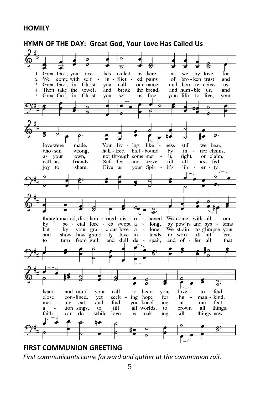#### **HOMILY**



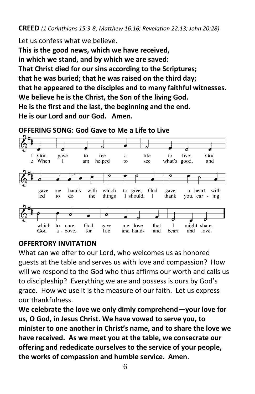Let us confess what we believe.

**This is the good news, which we have received, in which we stand, and by which we are saved: That Christ died for our sins according to the Scriptures; that he was buried; that he was raised on the third day; that he appeared to the disciples and to many faithful witnesses. We believe he is the Christ, the Son of the living God. He is the first and the last, the beginning and the end. He is our Lord and our God. Amen.**



#### **OFFERING SONG: God Gave to Me a Life to Live**

#### **OFFERTORY INVITATION**

What can we offer to our Lord, who welcomes us as honored guests at the table and serves us with love and compassion? How will we respond to the God who thus affirms our worth and calls us to discipleship? Everything we are and possess is ours by God's grace. How we use it is the measure of our faith. Let us express our thankfulness.

**We celebrate the love we only dimly comprehend—your love for us, O God, in Jesus Christ. We have vowed to serve you, to minister to one another in Christ's name, and to share the love we have received. As we meet you at the table, we consecrate our offering and rededicate ourselves to the service of your people, the works of compassion and humble service. Amen**.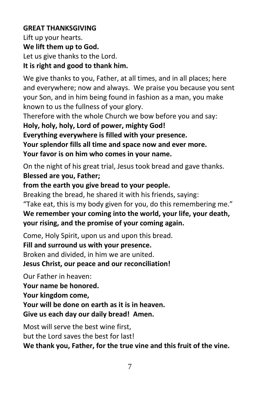#### **GREAT THANKSGIVING**

Lift up your hearts. **We lift them up to God.** Let us give thanks to the Lord. **It is right and good to thank him.**

We give thanks to you, Father, at all times, and in all places; here and everywhere; now and always. We praise you because you sent your Son, and in him being found in fashion as a man, you make known to us the fullness of your glory.

Therefore with the whole Church we bow before you and say:

**Holy, holy, holy, Lord of power, mighty God! Everything everywhere is filled with your presence. Your splendor fills all time and space now and ever more. Your favor is on him who comes in your name.**

On the night of his great trial, Jesus took bread and gave thanks. **Blessed are you, Father;** 

**from the earth you give bread to your people.**

Breaking the bread, he shared it with his friends, saying:

"Take eat, this is my body given for you, do this remembering me." **We remember your coming into the world, your life, your death, your rising, and the promise of your coming again.**

Come, Holy Spirit, upon us and upon this bread.

**Fill and surround us with your presence.**

Broken and divided, in him we are united.

**Jesus Christ, our peace and our reconciliation!**

Our Father in heaven: **Your name be honored. Your kingdom come, Your will be done on earth as it is in heaven. Give us each day our daily bread! Amen.**

Most will serve the best wine first, but the Lord saves the best for last! **We thank you, Father, for the true vine and this fruit of the vine.**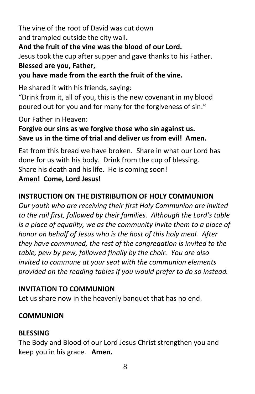The vine of the root of David was cut down and trampled outside the city wall.

#### **And the fruit of the vine was the blood of our Lord.**

Jesus took the cup after supper and gave thanks to his Father. **Blessed are you, Father,** 

**you have made from the earth the fruit of the vine.**

He shared it with his friends, saying:

"Drink from it, all of you, this is the new covenant in my blood poured out for you and for many for the forgiveness of sin."

Our Father in Heaven:

# **Forgive our sins as we forgive those who sin against us. Save us in the time of trial and deliver us from evil! Amen.**

Eat from this bread we have broken. Share in what our Lord has done for us with his body. Drink from the cup of blessing. Share his death and his life. He is coming soon!

# **Amen! Come, Lord Jesus!**

# **INSTRUCTION ON THE DISTRIBUTION OF HOLY COMMUNION**

*Our youth who are receiving their first Holy Communion are invited to the rail first, followed by their families. Although the Lord's table is a place of equality, we as the community invite them to a place of honor on behalf of Jesus who is the host of this holy meal. After they have communed, the rest of the congregation is invited to the table, pew by pew, followed finally by the choir. You are also invited to commune at your seat with the communion elements provided on the reading tables if you would prefer to do so instead.* 

# **INVITATION TO COMMUNION**

Let us share now in the heavenly banquet that has no end.

# **COMMUNION**

# **BLESSING**

The Body and Blood of our Lord Jesus Christ strengthen you and keep you in his grace. **Amen.**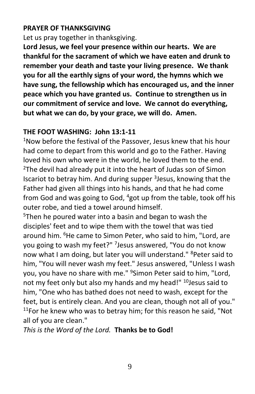#### **PRAYER OF THANKSGIVING**

Let us pray together in thanksgiving.

**Lord Jesus, we feel your presence within our hearts. We are thankful for the sacrament of which we have eaten and drunk to remember your death and taste your living presence. We thank you for all the earthly signs of your word, the hymns which we have sung, the fellowship which has encouraged us, and the inner peace which you have granted us. Continue to strengthen us in our commitment of service and love. We cannot do everything, but what we can do, by your grace, we will do. Amen.**

#### **THE FOOT WASHING: John 13:1-11**

<sup>1</sup>Now before the festival of the Passover, Jesus knew that his hour had come to depart from this world and go to the Father. Having loved his own who were in the world, he loved them to the end. <sup>2</sup>The devil had already put it into the heart of Judas son of Simon Iscariot to betray him. And during supper <sup>3</sup>Jesus, knowing that the Father had given all things into his hands, and that he had come from God and was going to God, <sup>4</sup>got up from the table, took off his outer robe, and tied a towel around himself.

<sup>5</sup>Then he poured water into a basin and began to wash the disciples' feet and to wipe them with the towel that was tied around him. <sup>6</sup>He came to Simon Peter, who said to him, "Lord, are you going to wash my feet?" <sup>7</sup>Jesus answered, "You do not know now what I am doing, but later you will understand." <sup>8</sup>Peter said to him, "You will never wash my feet." Jesus answered, "Unless I wash you, you have no share with me." <sup>9</sup>Simon Peter said to him, "Lord, not my feet only but also my hands and my head!" <sup>10</sup>Jesus said to him, "One who has bathed does not need to wash, except for the feet, but is entirely clean. And you are clean, though not all of you."  $11$ For he knew who was to betray him; for this reason he said, "Not all of you are clean."

*This is the Word of the Lord.* **Thanks be to God!**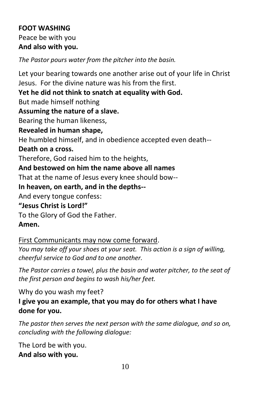# **FOOT WASHING** Peace be with you **And also with you.**

*The Pastor pours water from the pitcher into the basin.*

Let your bearing towards one another arise out of your life in Christ Jesus. For the divine nature was his from the first.

**Yet he did not think to snatch at equality with God.**

But made himself nothing

# **Assuming the nature of a slave.**

Bearing the human likeness,

# **Revealed in human shape,**

He humbled himself, and in obedience accepted even death--

#### **Death on a cross.**

Therefore, God raised him to the heights,

#### **And bestowed on him the name above all names**

That at the name of Jesus every knee should bow--

#### **In heaven, on earth, and in the depths--**

And every tongue confess:

#### **"Jesus Christ is Lord!"**

To the Glory of God the Father.

# **Amen.**

# First Communicants may now come forward.

*You may take off your shoes at your seat. This action is a sign of willing, cheerful service to God and to one another.*

*The Pastor carries a towel, plus the basin and water pitcher, to the seat of the first person and begins to wash his/her feet.*

Why do you wash my feet? **I give you an example, that you may do for others what I have done for you.**

*The pastor then serves the next person with the same dialogue, and so on, concluding with the following dialogue:*

The Lord be with you. **And also with you.**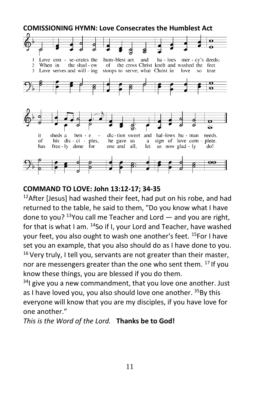

#### **COMMAND TO LOVE: John 13:12-17; 34-35**

 $12$ After [Jesus] had washed their feet, had put on his robe, and had returned to the table, he said to them, "Do you know what I have done to you?  $13$ You call me Teacher and Lord  $-$  and you are right, for that is what I am. <sup>14</sup>So if I, your Lord and Teacher, have washed your feet, you also ought to wash one another's feet. <sup>15</sup>For I have set you an example, that you also should do as I have done to you.  $16$  Very truly, I tell you, servants are not greater than their master, nor are messengers greater than the one who sent them. <sup>17</sup> If you know these things, you are blessed if you do them.

 $34$ I give you a new commandment, that you love one another. Just as I have loved you, you also should love one another. 35By this everyone will know that you are my disciples, if you have love for one another."

*This is the Word of the Lord.* **Thanks be to God!**